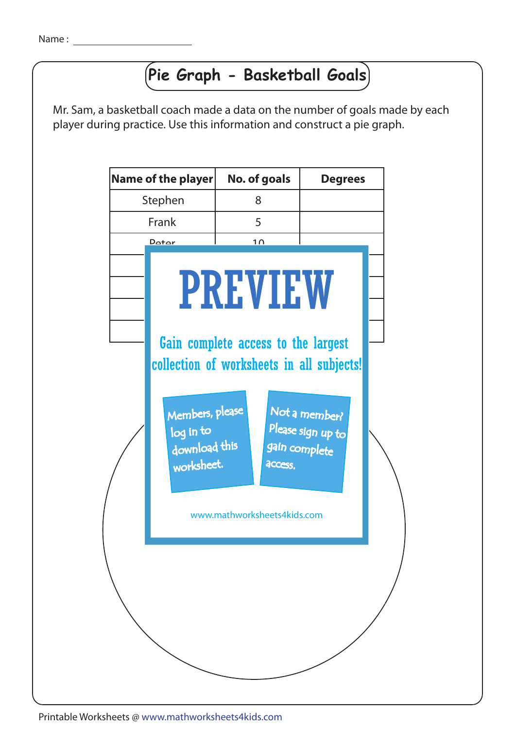## **Pie Graph - Basketball Goals**

Mr. Sam, a basketball coach made a data on the number of goals made by each player during practice. Use this information and construct a pie graph.



Printable Worksheets @ www.mathworksheets4kids.com